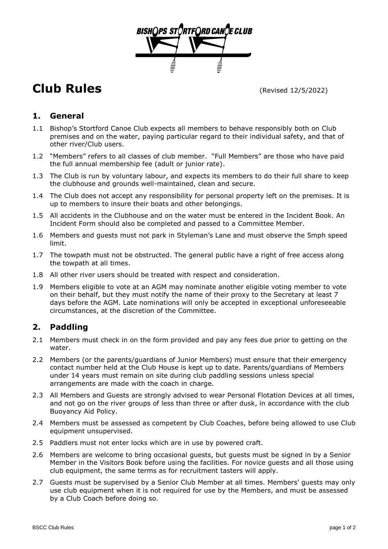

# **Club Rules** (Revised 12/5/2022)

## **1. General**

- 1.1 Bishop's Stortford Canoe Club expects all members to behave responsibly both on Club premises and on the water, paying particular regard to their individual safety, and that of other river/Club users.
- 1.2 "Members" refers to all classes of club member. "Full Members" are those who have paid the full annual membership fee (adult or junior rate).
- 1.3 The Club is run by voluntary labour, and expects its members to do their full share to keep the clubhouse and grounds well-maintained, clean and secure.
- 1.4 The Club does not accept any responsibility for personal property left on the premises. It is up to members to insure their boats and other belongings.
- 1.5 All accidents in the Clubhouse and on the water must be entered in the Incident Book. An Incident Form should also be completed and passed to a Committee Member.
- 1.6 Members and guests must not park in Styleman's Lane and must observe the 5mph speed limit.
- 1.7 The towpath must not be obstructed. The general public have a right of free access along the towpath at all times.
- 1.8 All other river users should be treated with respect and consideration.
- 1.9 Members eligible to vote at an AGM may nominate another eligible voting member to vote on their behalf, but they must notify the name of their proxy to the Secretary at least 7 days before the AGM. Late nominations will only be accepted in exceptional unforeseeable circumstances, at the discretion of the Committee.

# **2. Paddling**

- 2.1 Members must check in on the form provided and pay any fees due prior to getting on the water.
- 2.2 Members (or the parents/guardians of Junior Members) must ensure that their emergency contact number held at the Club House is kept up to date. Parents/guardians of Members under 14 years must remain on site during club paddling sessions unless special arrangements are made with the coach in charge.
- 2.3 All Members and Guests are strongly advised to wear Personal Flotation Devices at all times, and not go on the river groups of less than three or after dusk, in accordance with the club Buoyancy Aid Policy.
- 2.4 Members must be assessed as competent by Club Coaches, before being allowed to use Club equipment unsupervised.
- 2.5 Paddlers must not enter locks which are in use by powered craft.
- 2.6 Members are welcome to bring occasional guests, but guests must be signed in by a Senior Member in the Visitors Book before using the facilities. For novice guests and all those using club equipment, the same terms as for recruitment tasters will apply.
- 2.7 Guests must be supervised by a Senior Club Member at all times. Members' guests may only use club equipment when it is not required for use by the Members, and must be assessed by a Club Coach before doing so.